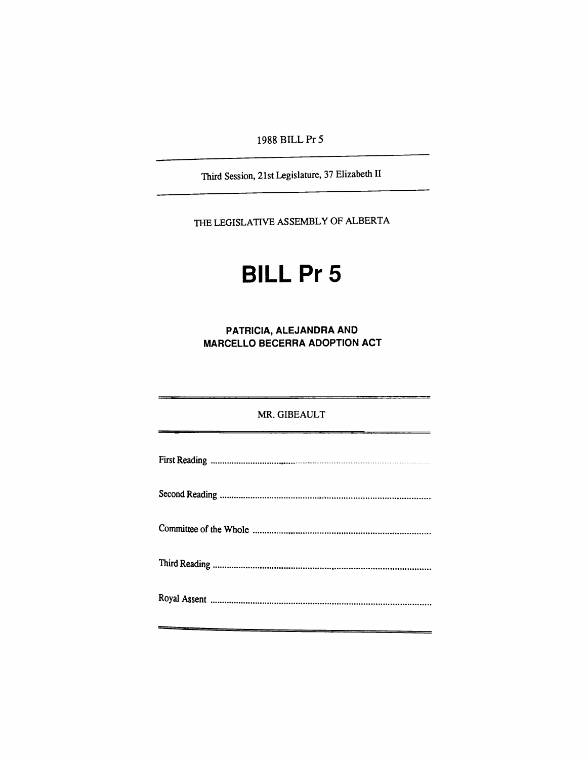1988 BILLPr 5

Third Session, 21st Legislature, 37 Elizabeth II

THE LEGISLATIVE ASSEMBLY OF ALBERTA

# **BILL Pr 5**

**PATRICIA, ALEJANDRA AND MARCELLO BECERRA ADOPTION ACT** 

## MR. GIBEAULT